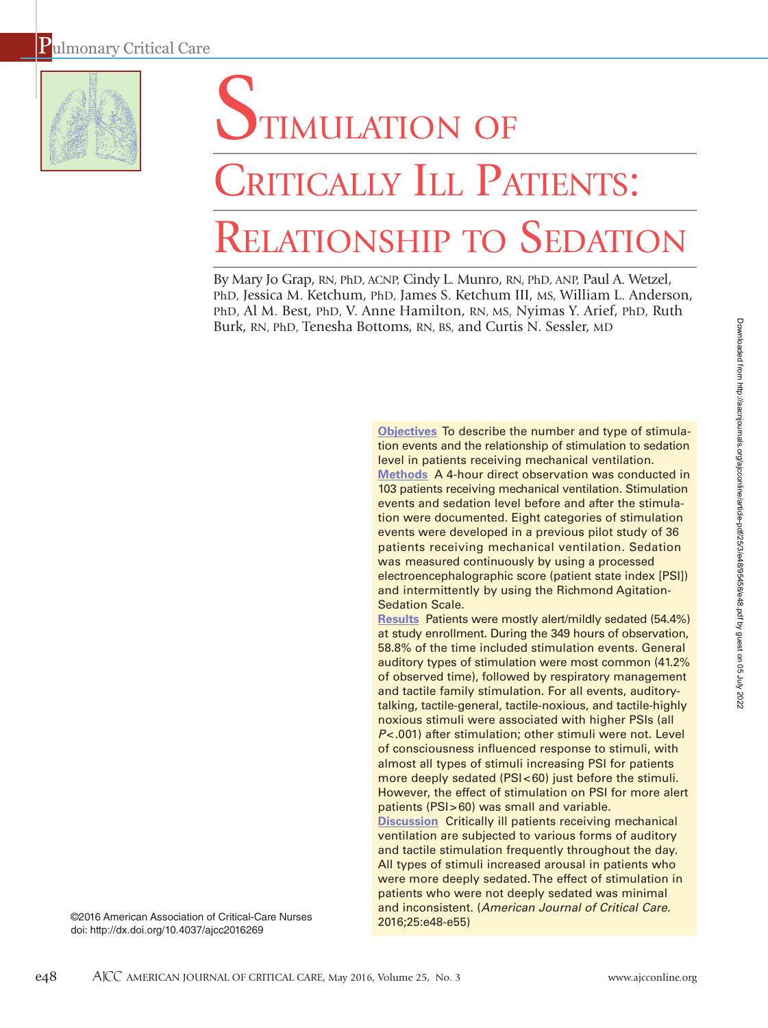

# **JTIMULATION OF**

# CRITICALLY ILL PATIENTS: ELATIONSHIP TO SEDATION

By Mary Jo Grap, RN, PhD, ACNP, Cindy L. Munro, RN, PhD, ANP, Paul A. Wetzel, PhD, Jessica M. Ketchum, PhD, James S. Ketchum III, MS, William L. Anderson, PhD, Al M. Best, PhD, V. Anne Hamilton, RN, MS, Nyimas Y. Arief, PhD, Ruth Burk, RN, PhD, Tenesha Bottoms, RN, BS, and Curtis N. Sessler, MD

> **Objectives** To describe the number and type of stimulation events and the relationship of stimulation to sedation level in patients receiving mechanical ventilation. **Methods** A 4-hour direct observation was conducted in 103 patients receiving mechanical ventilation. Stimulation events and sedation level before and after the stimulation were documented. Eight categories of stimulation events were developed in a previous pilot study of 36 patients receiving mechanical ventilation. Sedation was measured continuously by using a processed electroencephalographic score (patient state index [PSI]) and intermittently by using the Richmond Agitation-Sedation Scale.

> **Results** Patients were mostly alert/mildly sedated (54.4%) at study enrollment. During the 349 hours of observation, 58.8% of the time included stimulation events. General auditory types of stimulation were most common (41.2% of observed time), followed by respiratory management and tactile family stimulation. For all events, auditorytalking, tactile-general, tactile-noxious, and tactile-highly noxious stimuli were associated with higher PSIs (all *P*<.001) after stimulation; other stimuli were not. Level of consciousness influenced response to stimuli, with almost all types of stimuli increasing PSI for patients more deeply sedated (PSI<60) just before the stimuli. However, the effect of stimulation on PSI for more alert patients (PSI>60) was small and variable. **Discussion** Critically ill patients receiving mechanical ventilation are subjected to various forms of auditory and tactile stimulation frequently throughout the day. All types of stimuli increased arousal in patients who were more deeply sedated. The effect of stimulation in patients who were not deeply sedated was minimal and inconsistent. (*American Journal of Critical Care.*

2016;25:e48-e55)

©2016 American Association of Critical-Care Nurses doi: http://dx.doi.org/10.4037/ajcc2016269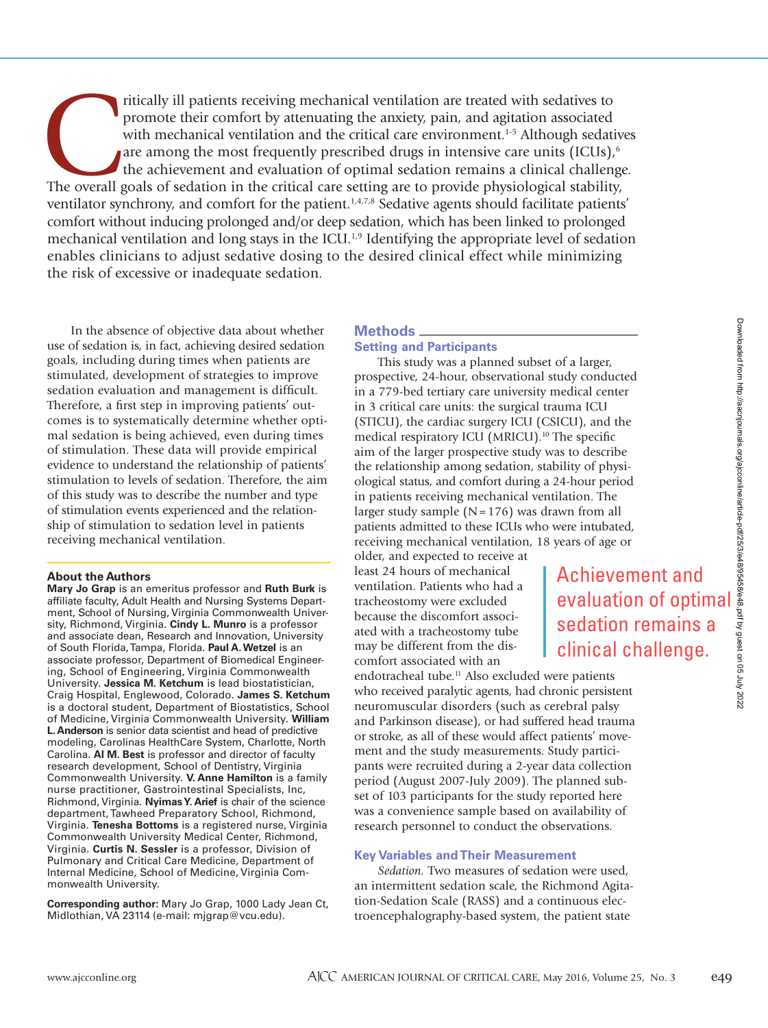Tritically ill patients receiving mechanical ventilation are treated with sedatives to promote their comfort by attenuating the anxiety, pain, and agitation associated with mechanical ventilation and the critical care envi promote their comfort by attenuating the anxiety, pain, and agitation associated with mechanical ventilation and the critical care environment.<sup>1-5</sup> Although sedatives are among the most frequently prescribed drugs in intensive care units  $(ICUs)$ <sup>6</sup> the achievement and evaluation of optimal sedation remains a clinical challenge. ventilator synchrony, and comfort for the patient.<sup>1,4,7,8</sup> Sedative agents should facilitate patients' comfort without inducing prolonged and/or deep sedation, which has been linked to prolonged mechanical ventilation and long stays in the ICU.<sup>1,9</sup> Identifying the appropriate level of sedation enables clinicians to adjust sedative dosing to the desired clinical effect while minimizing the risk of excessive or inadequate sedation.

In the absence of objective data about whether use of sedation is, in fact, achieving desired sedation goals, including during times when patients are stimulated, development of strategies to improve sedation evaluation and management is difficult. Therefore, a first step in improving patients' outcomes is to systematically determine whether optimal sedation is being achieved, even during times of stimulation. These data will provide empirical evidence to understand the relationship of patients' stimulation to levels of sedation. Therefore, the aim of this study was to describe the number and type of stimulation events experienced and the relationship of stimulation to sedation level in patients receiving mechanical ventilation.

#### **About the Authors**

**Mary Jo Grap** is an emeritus professor and **Ruth Burk** is affiliate faculty, Adult Health and Nursing Systems Department, School of Nursing, Virginia Commonwealth University, Richmond, Virginia. **Cindy L. Munro** is a professor and associate dean, Research and Innovation, University of South Florida, Tampa, Florida. **Paul A. Wetzel** is an associate professor, Department of Biomedical Engineering, School of Engineering, Virginia Commonwealth University. **Jessica M. Ketchum** is lead biostatistician, Craig Hospital, Englewood, Colorado. **James S. Ketchum** is a doctoral student, Department of Biostatistics, School of Medicine, Virginia Commonwealth University. **William L. Anderson** is senior data scientist and head of predictive modeling, Carolinas HealthCare System, Charlotte, North Carolina. **Al M. Best** is professor and director of faculty research development, School of Dentistry, Virginia Commonwealth University. **V. Anne Hamilton** is a family nurse practitioner, Gastrointestinal Specialists, Inc, Richmond, Virginia. **Nyimas Y. Arief** is chair of the science department, Tawheed Preparatory School, Richmond, Virginia. **Tenesha Bottoms** is a registered nurse, Virginia Commonwealth University Medical Center, Richmond, Virginia. **Curtis N. Sessler** is a professor, Division of Pulmonary and Critical Care Medicine, Department of Internal Medicine, School of Medicine, Virginia Commonwealth University.

**Corresponding author:** Mary Jo Grap, 1000 Lady Jean Ct, Midlothian, VA 23114 (e-mail: mjgrap@vcu.edu).

## **Methods**

## **Setting and Participants**

This study was a planned subset of a larger, prospective, 24-hour, observational study conducted in a 779-bed tertiary care university medical center in 3 critical care units: the surgical trauma ICU (STICU), the cardiac surgery ICU (CSICU), and the medical respiratory ICU (MRICU).10 The specific aim of the larger prospective study was to describe the relationship among sedation, stability of physiological status, and comfort during a 24-hour period in patients receiving mechanical ventilation. The larger study sample ( $N=176$ ) was drawn from all patients admitted to these ICUs who were intubated, receiving mechanical ventilation, 18 years of age or

older, and expected to receive at least 24 hours of mechanical ventilation. Patients who had a tracheostomy were excluded because the discomfort associated with a tracheostomy tube may be different from the discomfort associated with an

Achievement and Fractional denter<br>
of a larger,<br>
tudy conducted<br>
medical center<br>
muma ICU<br>
IICU), and the<br>
The specific<br>
as to describe<br>
bility of physi-<br>
24-hour period<br>
llation. The<br>
wum from all<br>
were intubated,<br>
years of age or<br> **Achi** sedation remains a clinical challenge.

endotracheal tube.<sup>11</sup> Also excluded were patients who received paralytic agents, had chronic persistent neuromuscular disorders (such as cerebral palsy and Parkinson disease), or had suffered head trauma or stroke, as all of these would affect patients' movement and the study measurements. Study participants were recruited during a 2-year data collection period (August 2007-July 2009). The planned subset of 103 participants for the study reported here was a convenience sample based on availability of research personnel to conduct the observations.

#### **Key Variables and Their Measurement**

*Sedation.* Two measures of sedation were used, an intermittent sedation scale, the Richmond Agitation-Sedation Scale (RASS) and a continuous electroencephalography-based system, the patient state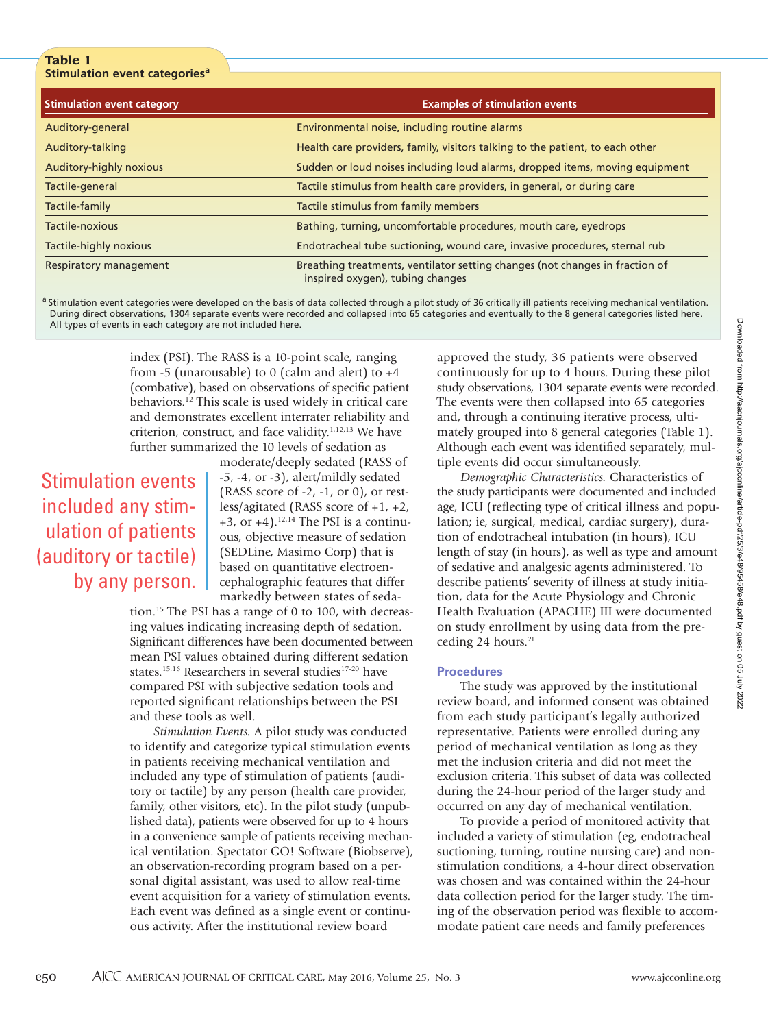### **Table 1 Stimulation event categories<sup>a</sup>**

| <b>Stimulation event category</b> | <b>Examples of stimulation events</b>                                                                            |
|-----------------------------------|------------------------------------------------------------------------------------------------------------------|
| Auditory-general                  | Environmental noise, including routine alarms                                                                    |
| Auditory-talking                  | Health care providers, family, visitors talking to the patient, to each other                                    |
| <b>Auditory-highly noxious</b>    | Sudden or loud noises including loud alarms, dropped items, moving equipment                                     |
| Tactile-general                   | Tactile stimulus from health care providers, in general, or during care                                          |
| Tactile-family                    | Tactile stimulus from family members                                                                             |
| Tactile-noxious                   | Bathing, turning, uncomfortable procedures, mouth care, eyedrops                                                 |
| Tactile-highly noxious            | Endotracheal tube suctioning, wound care, invasive procedures, sternal rub                                       |
| Respiratory management            | Breathing treatments, ventilator setting changes (not changes in fraction of<br>inspired oxygen), tubing changes |

a Stimulation event categories were developed on the basis of data collected through a pilot study of 36 critically ill patients receiving mechanical ventilation. During direct observations, 1304 separate events were recorded and collapsed into 65 categories and eventually to the 8 general categories listed here. All types of events in each category are not included here.

> index (PSI). The RASS is a 10-point scale, ranging from  $-5$  (unarousable) to 0 (calm and alert) to  $+4$ (combative), based on observations of specific patient behaviors.12 This scale is used widely in critical care and demonstrates excellent interrater reliability and criterion, construct, and face validity.1,12,13 We have further summarized the 10 levels of sedation as

## Stimulation events included any stimulation of patients (auditory or tactile) by any person.

moderate/deeply sedated (RASS of -5, -4, or -3), alert/mildly sedated (RASS score of -2, -1, or 0), or restless/agitated (RASS score of  $+1$ ,  $+2$ ,  $+3$ , or  $+4$ ).<sup>12,14</sup> The PSI is a continuous, objective measure of sedation (SEDLine, Masimo Corp) that is based on quantitative electroencephalographic features that differ markedly between states of seda-

tion.15 The PSI has a range of 0 to 100, with decreasing values indicating increasing depth of sedation. Significant differences have been documented between mean PSI values obtained during different sedation states.<sup>15,16</sup> Researchers in several studies<sup>17-20</sup> have compared PSI with subjective sedation tools and reported significant relationships between the PSI and these tools as well.

*Stimulation Events.* A pilot study was conducted to identify and categorize typical stimulation events in patients receiving mechanical ventilation and included any type of stimulation of patients (auditory or tactile) by any person (health care provider, family, other visitors, etc). In the pilot study (unpublished data), patients were observed for up to 4 hours in a convenience sample of patients receiving mechanical ventilation. Spectator GO! Software (Biobserve), an observation-recording program based on a personal digital assistant, was used to allow real-time event acquisition for a variety of stimulation events. Each event was defined as a single event or continuous activity. After the institutional review board

approved the study, 36 patients were observed continuously for up to 4 hours. During these pilot study observations, 1304 separate events were recorded. The events were then collapsed into 65 categories and, through a continuing iterative process, ultimately grouped into 8 general categories (Table 1). Although each event was identified separately, multiple events did occur simultaneously.

*Demographic Characteristics.* Characteristics of the study participants were documented and included age, ICU (reflecting type of critical illness and population; ie, surgical, medical, cardiac surgery), duration of endotracheal intubation (in hours), ICU length of stay (in hours), as well as type and amount of sedative and analgesic agents administered. To describe patients' severity of illness at study initiation, data for the Acute Physiology and Chronic Health Evaluation (APACHE) III were documented on study enrollment by using data from the preceding 24 hours.<sup>21</sup>

## **Procedures**

The study was approved by the institutional review board, and informed consent was obtained from each study participant's legally authorized representative. Patients were enrolled during any period of mechanical ventilation as long as they met the inclusion criteria and did not meet the exclusion criteria. This subset of data was collected during the 24-hour period of the larger study and occurred on any day of mechanical ventilation.

To provide a period of monitored activity that included a variety of stimulation (eg, endotracheal suctioning, turning, routine nursing care) and nonstimulation conditions, a 4-hour direct observation was chosen and was contained within the 24-hour data collection period for the larger study. The timing of the observation period was flexible to accommodate patient care needs and family preferences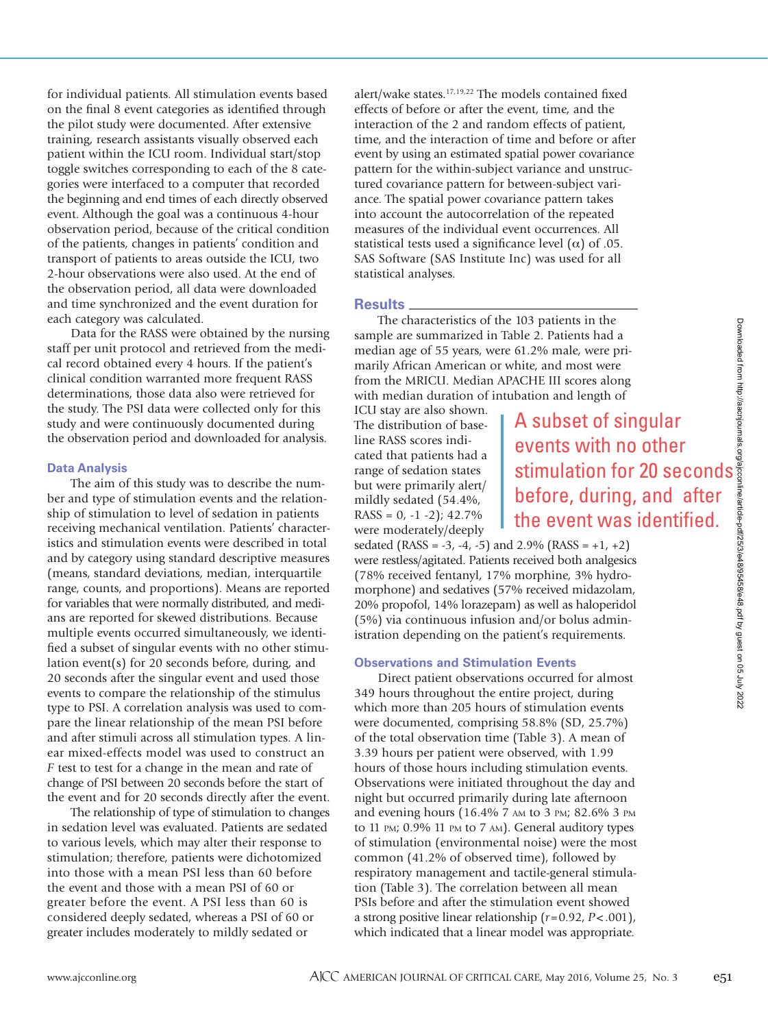for individual patients. All stimulation events based on the final 8 event categories as identified through the pilot study were documented. After extensive training, research assistants visually observed each patient within the ICU room. Individual start/stop toggle switches corresponding to each of the 8 categories were interfaced to a computer that recorded the beginning and end times of each directly observed event. Although the goal was a continuous 4-hour observation period, because of the critical condition of the patients, changes in patients' condition and transport of patients to areas outside the ICU, two 2-hour observations were also used. At the end of the observation period, all data were downloaded and time synchronized and the event duration for each category was calculated.

Data for the RASS were obtained by the nursing staff per unit protocol and retrieved from the medical record obtained every 4 hours. If the patient's clinical condition warranted more frequent RASS determinations, those data also were retrieved for the study. The PSI data were collected only for this study and were continuously documented during the observation period and downloaded for analysis.

#### **Data Analysis**

The aim of this study was to describe the number and type of stimulation events and the relationship of stimulation to level of sedation in patients receiving mechanical ventilation. Patients' characteristics and stimulation events were described in total and by category using standard descriptive measures (means, standard deviations, median, interquartile range, counts, and proportions). Means are reported for variables that were normally distributed, and medians are reported for skewed distributions. Because multiple events occurred simultaneously, we identified a subset of singular events with no other stimulation event(s) for 20 seconds before, during, and 20 seconds after the singular event and used those events to compare the relationship of the stimulus type to PSI. A correlation analysis was used to compare the linear relationship of the mean PSI before and after stimuli across all stimulation types. A linear mixed-effects model was used to construct an *F* test to test for a change in the mean and rate of change of PSI between 20 seconds before the start of the event and for 20 seconds directly after the event.

The relationship of type of stimulation to changes in sedation level was evaluated. Patients are sedated to various levels, which may alter their response to stimulation; therefore, patients were dichotomized into those with a mean PSI less than 60 before the event and those with a mean PSI of 60 or greater before the event. A PSI less than 60 is considered deeply sedated, whereas a PSI of 60 or greater includes moderately to mildly sedated or

alert/wake states.17,19,22 The models contained fixed effects of before or after the event, time, and the interaction of the 2 and random effects of patient, time, and the interaction of time and before or after event by using an estimated spatial power covariance pattern for the within-subject variance and unstructured covariance pattern for between-subject variance. The spatial power covariance pattern takes into account the autocorrelation of the repeated measures of the individual event occurrences. All statistical tests used a significance level ( $\alpha$ ) of .05. SAS Software (SAS Institute Inc) was used for all statistical analyses.

## **Results**

The characteristics of the 103 patients in the sample are summarized in Table 2. Patients had a median age of 55 years, were 61.2% male, were primarily African American or white, and most were from the MRICU. Median APACHE III scores along with median duration of intubation and length of

ICU stay are also shown. The distribution of baseline RASS scores indicated that patients had a range of sedation states but were primarily alert/ mildly sedated (54.4%, RASS =  $0, -1 -2$ ; 42.7% were moderately/deeply

A subset of singular events with no other 103 patients in the<br>
ble 2. Patients had a<br>
61.2% male, were pri-<br>
hite, and most were<br>
dicties and most were<br>
dicties in scores along<br>
bation and length of<br> **A** subset of singular<br>
events with no other<br>
stimulation for 2 before, during, and after the event was identified.

sedated (RASS =  $-3$ ,  $-4$ ,  $-5$ ) and  $2.9\%$  (RASS =  $+1$ ,  $+2$ ) were restless/agitated. Patients received both analgesics (78% received fentanyl, 17% morphine, 3% hydromorphone) and sedatives (57% received midazolam, 20% propofol, 14% lorazepam) as well as haloperidol (5%) via continuous infusion and/or bolus administration depending on the patient's requirements.

## **Observations and Stimulation Events**

Direct patient observations occurred for almost 349 hours throughout the entire project, during which more than 205 hours of stimulation events were documented, comprising 58.8% (SD, 25.7%) of the total observation time (Table 3). A mean of 3.39 hours per patient were observed, with 1.99 hours of those hours including stimulation events. Observations were initiated throughout the day and night but occurred primarily during late afternoon and evening hours (16.4% 7 am to 3 pm; 82.6% 3 pm to 11 pm; 0.9% 11 pm to 7 am). General auditory types of stimulation (environmental noise) were the most common (41.2% of observed time), followed by respiratory management and tactile-general stimulation (Table 3). The correlation between all mean PSIs before and after the stimulation event showed a strong positive linear relationship (*r*=0.92, *P*<.001), which indicated that a linear model was appropriate.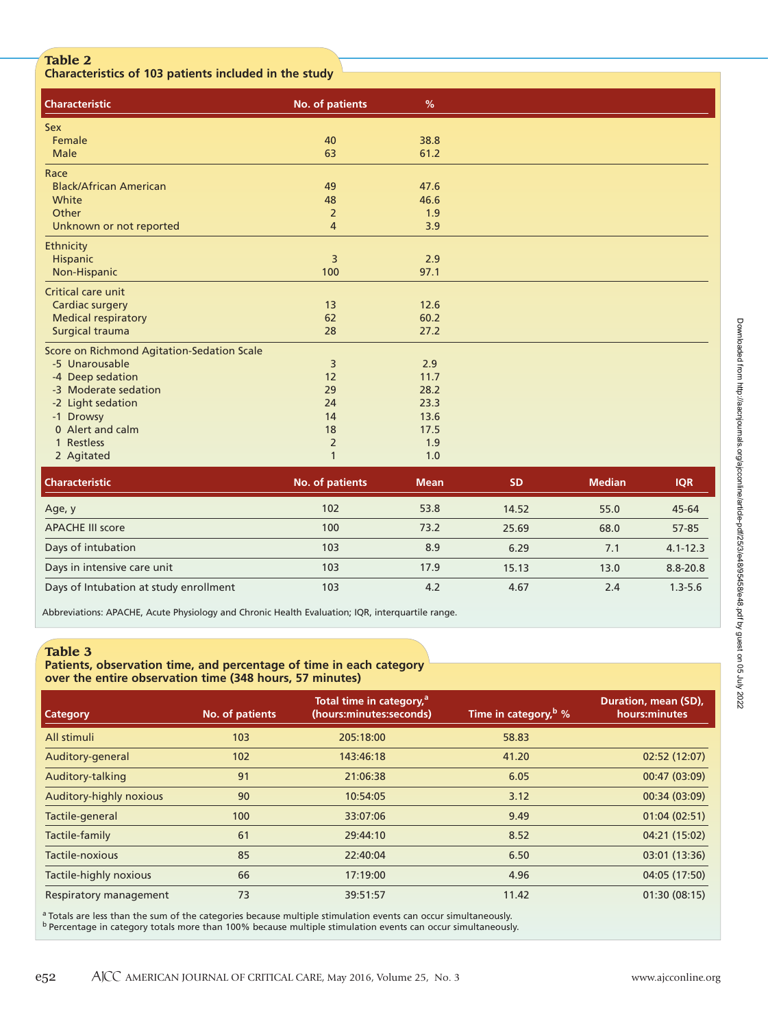## **Table 2**

**Characteristics of 103 patients included in the study**

| <b>Characteristic</b>                      | <b>No. of patients</b> | $\%$ |
|--------------------------------------------|------------------------|------|
| <b>Sex</b>                                 |                        |      |
| Female                                     | 40                     | 38.8 |
| Male                                       | 63                     | 61.2 |
| Race                                       |                        |      |
| <b>Black/African American</b>              | 49                     | 47.6 |
| White                                      | 48                     | 46.6 |
| Other                                      | $\overline{2}$         | 1.9  |
| Unknown or not reported                    | $\overline{4}$         | 3.9  |
| Ethnicity                                  |                        |      |
| <b>Hispanic</b>                            | 3                      | 2.9  |
| Non-Hispanic                               | 100                    | 97.1 |
| Critical care unit                         |                        |      |
| Cardiac surgery                            | 13                     | 12.6 |
| <b>Medical respiratory</b>                 | 62                     | 60.2 |
| Surgical trauma                            | 28                     | 27.2 |
| Score on Richmond Agitation-Sedation Scale |                        |      |
| -5 Unarousable                             | 3                      | 2.9  |
| -4 Deep sedation                           | 12                     | 11.7 |
| -3 Moderate sedation                       | 29                     | 28.2 |
| -2 Light sedation                          | 24                     | 23.3 |
| -1 Drowsy                                  | 14                     | 13.6 |
| 0 Alert and calm                           | 18                     | 17.5 |
| 1 Restless                                 | $\overline{2}$         | 1.9  |
| 2 Agitated                                 | $\mathbf{1}$           | 1.0  |

| <b>Characteristic</b>                  | No. of patients | <b>Mean</b> | <b>SD</b> | <b>Median</b> | <b>IQR</b>   |
|----------------------------------------|-----------------|-------------|-----------|---------------|--------------|
| Age, y                                 | 102             | 53.8        | 14.52     | 55.0          | 45-64        |
| <b>APACHE III score</b>                | 100             | 73.2        | 25.69     | 68.0          | $57 - 85$    |
| Days of intubation                     | 103             | 8.9         | 6.29      | 7.1           | $4.1 - 12.3$ |
| Days in intensive care unit            | 103             | 17.9        | 15.13     | 13.0          | $8.8 - 20.8$ |
| Days of Intubation at study enrollment | 103             | 4.2         | 4.67      | 2.4           | $1.3 - 5.6$  |

Abbreviations: APACHE, Acute Physiology and Chronic Health Evaluation; IQR, interquartile range.

## **Table 3**

### **Patients, observation time, and percentage of time in each category over the entire observation time (348 hours, 57 minutes)**

| Category                       | No. of patients | Total time in category, <sup>a</sup><br>(hours:minutes:seconds) | Time in category, $^{\rm b}$ % | Duration, mean (SD),<br>hours:minutes |
|--------------------------------|-----------------|-----------------------------------------------------------------|--------------------------------|---------------------------------------|
| All stimuli                    | 103             | 205:18:00                                                       | 58.83                          |                                       |
| Auditory-general               | 102             | 143:46:18                                                       | 41.20                          | 02:52(12:07)                          |
| Auditory-talking               | 91              | 21:06:38                                                        | 6.05                           | 00:47 (03:09)                         |
| <b>Auditory-highly noxious</b> | 90              | 10:54:05                                                        | 3.12                           | 00:34 (03:09)                         |
| Tactile-general                | 100             | 33:07:06                                                        | 9.49                           | 01:04(02:51)                          |
| Tactile-family                 | 61              | 29:44:10                                                        | 8.52                           | 04:21 (15:02)                         |
| Tactile-noxious                | 85              | 22:40:04                                                        | 6.50                           | 03:01 (13:36)                         |
| Tactile-highly noxious         | 66              | 17:19:00                                                        | 4.96                           | 04:05 (17:50)                         |
| Respiratory management         | 73              | 39:51:57                                                        | 11.42                          | 01:30(08:15)                          |

 $\frac{a}{b}$  Totals are less than the sum of the categories because multiple stimulation events can occur simultaneously. b Percentage in category totals more than 100% because multiple stimulation events can occur simultaneously.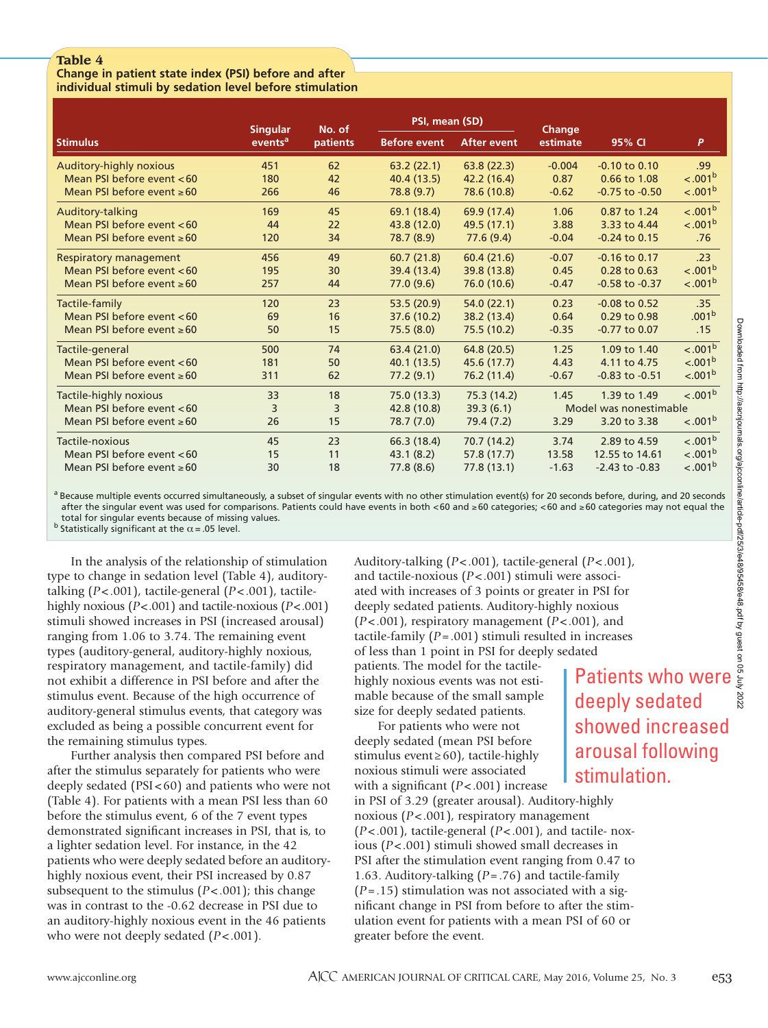## **Table 4**

## **Change in patient state index (PSI) before and after individual stimuli by sedation level before stimulation**

|                                                                                                                                                                                                                                                                                                                                                                                                                                                                                 | <b>Singular</b>     | No. of                                                      |                                                                                                                | PSI, mean (SD)     |                    |                          |                     |  |
|---------------------------------------------------------------------------------------------------------------------------------------------------------------------------------------------------------------------------------------------------------------------------------------------------------------------------------------------------------------------------------------------------------------------------------------------------------------------------------|---------------------|-------------------------------------------------------------|----------------------------------------------------------------------------------------------------------------|--------------------|--------------------|--------------------------|---------------------|--|
| <b>Stimulus</b>                                                                                                                                                                                                                                                                                                                                                                                                                                                                 | events <sup>a</sup> | patients                                                    | <b>Before event</b>                                                                                            | <b>After event</b> | Change<br>estimate | 95% CI                   | P                   |  |
| Auditory-highly noxious                                                                                                                                                                                                                                                                                                                                                                                                                                                         | 451                 | 62                                                          | 63.2(22.1)                                                                                                     | 63.8(22.3)         | $-0.004$           | $-0.10$ to $0.10$        | .99                 |  |
| Mean PSI before event <60                                                                                                                                                                                                                                                                                                                                                                                                                                                       | 180                 | 42                                                          | 40.4 (13.5)                                                                                                    | 42.2 (16.4)        | 0.87               | 0.66 to 1.08             | < .001 <sup>b</sup> |  |
| Mean PSI before event $\geq 60$                                                                                                                                                                                                                                                                                                                                                                                                                                                 | 266                 | 46                                                          | 78.8 (9.7)                                                                                                     | 78.6 (10.8)        | $-0.62$            | $-0.75$ to $-0.50$       | < .001 <sup>b</sup> |  |
| Auditory-talking                                                                                                                                                                                                                                                                                                                                                                                                                                                                | 169                 | 45                                                          | 69.1 (18.4)                                                                                                    | 69.9 (17.4)        | 1.06               | 0.87 to 1.24             | < .001 <sup>b</sup> |  |
| Mean PSI before event <60                                                                                                                                                                                                                                                                                                                                                                                                                                                       | 44                  | 22                                                          | 43.8 (12.0)                                                                                                    | 49.5 (17.1)        | 3.88               | 3.33 to 4.44             | $-.001b$            |  |
| Mean PSI before event ≥60                                                                                                                                                                                                                                                                                                                                                                                                                                                       | 120                 | 34                                                          | 78.7 (8.9)                                                                                                     | 77.6(9.4)          | $-0.04$            | $-0.24$ to $0.15$        | .76                 |  |
| Respiratory management                                                                                                                                                                                                                                                                                                                                                                                                                                                          | 456                 | 49                                                          | 60.7(21.8)                                                                                                     | 60.4 (21.6)        | $-0.07$            | $-0.16$ to $0.17$        | .23                 |  |
| Mean PSI before event <60                                                                                                                                                                                                                                                                                                                                                                                                                                                       | 195                 | 30                                                          | 39.4 (13.4)                                                                                                    | 39.8 (13.8)        | 0.45               | 0.28 to 0.63             | < .001 <sup>b</sup> |  |
| Mean PSI before event $\geq 60$                                                                                                                                                                                                                                                                                                                                                                                                                                                 | 257                 | 44                                                          | 77.0 (9.6)                                                                                                     | 76.0 (10.6)        | $-0.47$            | -0.58 to -0.37           | < .001 <sup>b</sup> |  |
| Tactile-family                                                                                                                                                                                                                                                                                                                                                                                                                                                                  | 120                 | 23                                                          | 53.5 (20.9)                                                                                                    | 54.0 (22.1)        | 0.23               | $-0.08$ to $0.52$        | .35                 |  |
| Mean PSI before event <60                                                                                                                                                                                                                                                                                                                                                                                                                                                       | 69                  | 16                                                          | 37.6 (10.2)                                                                                                    | 38.2 (13.4)        | 0.64               | 0.29 to 0.98             | .001 <sup>b</sup>   |  |
| Mean PSI before event ≥60                                                                                                                                                                                                                                                                                                                                                                                                                                                       | 50                  | 15                                                          | 75.5(8.0)                                                                                                      | 75.5 (10.2)        | $-0.35$            | $-0.77$ to $0.07$        | .15                 |  |
| Tactile-general                                                                                                                                                                                                                                                                                                                                                                                                                                                                 | 500                 | 74                                                          | 63.4 (21.0)                                                                                                    | 64.8 (20.5)        | 1.25               | 1.09 to 1.40             | < .001 <sup>b</sup> |  |
| Mean PSI before event <60                                                                                                                                                                                                                                                                                                                                                                                                                                                       | 181                 | 50                                                          | 40.1 (13.5)                                                                                                    | 45.6 (17.7)        | 4.43               | 4.11 to 4.75             | < .001 <sup>b</sup> |  |
| Mean PSI before event ≥60                                                                                                                                                                                                                                                                                                                                                                                                                                                       | 311                 | 62                                                          | 77.2(9.1)                                                                                                      | 76.2 (11.4)        | $-0.67$            | -0.83 to -0.51           | < .001 <sup>b</sup> |  |
| Tactile-highly noxious                                                                                                                                                                                                                                                                                                                                                                                                                                                          | 33                  | 18                                                          | 75.0 (13.3)                                                                                                    | 75.3 (14.2)        | 1.45               | 1.39 to 1.49             | < .001 <sup>b</sup> |  |
| Mean PSI before event <60                                                                                                                                                                                                                                                                                                                                                                                                                                                       | 3                   | 3                                                           | 42.8 (10.8)                                                                                                    | 39.3(6.1)          |                    | Model was nonestimable   |                     |  |
| Mean PSI before event ≥60                                                                                                                                                                                                                                                                                                                                                                                                                                                       | 26                  | 15                                                          | 78.7(7.0)                                                                                                      | 79.4 (7.2)         | 3.29               | 3.20 to 3.38             | < .001 <sup>b</sup> |  |
| Tactile-noxious                                                                                                                                                                                                                                                                                                                                                                                                                                                                 | 45                  | 23                                                          | 66.3 (18.4)                                                                                                    | 70.7 (14.2)        | 3.74               | 2.89 to 4.59             | < .001 <sup>b</sup> |  |
| Mean PSI before event <60                                                                                                                                                                                                                                                                                                                                                                                                                                                       | 15                  | 11                                                          | 43.1 (8.2)                                                                                                     | 57.8 (17.7)        | 13.58              | 12.55 to 14.61           | < .001 <sup>b</sup> |  |
| Mean PSI before event ≥60                                                                                                                                                                                                                                                                                                                                                                                                                                                       | 30                  | 18                                                          | 77.8(8.6)                                                                                                      | 77.8 (13.1)        | $-1.63$            | $-2.43$ to $-0.83$       | < .001 <sup>b</sup> |  |
| <sup>a</sup> Because multiple events occurred simultaneously, a subset of singular events with no other stimulation event(s) for 20 seconds before, during, and 20 seconds<br>after the singular event was used for comparisons. Patients could have events in both <60 and $\geq 60$ categories; <60 and $\geq 60$ categories may not equal the<br>total for singular events because of missing values.<br><sup>b</sup> Statistically significant at the $\alpha$ = .05 level. |                     |                                                             |                                                                                                                |                    |                    |                          |                     |  |
| In the analysis of the relationship of stimulation                                                                                                                                                                                                                                                                                                                                                                                                                              |                     |                                                             | Auditory-talking ( $P < .001$ ), tactile-general ( $P < .001$ ),                                               |                    |                    |                          |                     |  |
| ype to change in sedation level (Table 4), auditory-<br>alking $(P < .001)$ , tactile-general $(P < .001)$ , tactile-                                                                                                                                                                                                                                                                                                                                                           |                     |                                                             | and tactile-noxious ( $P$ <.001) stimuli were associ-<br>ated with increases of 3 points or greater in PSI for |                    |                    |                          |                     |  |
| highly noxious ( $P < .001$ ) and tactile-noxious ( $P < .001$ )                                                                                                                                                                                                                                                                                                                                                                                                                |                     |                                                             | deeply sedated patients. Auditory-highly noxious                                                               |                    |                    |                          |                     |  |
| timuli showed increases in PSI (increased arousal)                                                                                                                                                                                                                                                                                                                                                                                                                              |                     |                                                             | $(P<.001)$ , respiratory management $(P<.001)$ , and                                                           |                    |                    |                          |                     |  |
| anging from 1.06 to 3.74. The remaining event                                                                                                                                                                                                                                                                                                                                                                                                                                   |                     | tactile-family ( $P = .001$ ) stimuli resulted in increases |                                                                                                                |                    |                    |                          |                     |  |
| ypes (auditory-general, auditory-highly noxious,                                                                                                                                                                                                                                                                                                                                                                                                                                |                     |                                                             | of less than 1 point in PSI for deeply sedated                                                                 |                    |                    |                          |                     |  |
|                                                                                                                                                                                                                                                                                                                                                                                                                                                                                 |                     |                                                             | patients. The model for the tactile-                                                                           |                    |                    |                          |                     |  |
| espiratory management, and tactile-family) did<br>not exhibit a difference in PSI before and after the                                                                                                                                                                                                                                                                                                                                                                          |                     |                                                             | highly noxious events was not esti-                                                                            |                    |                    | <b>Patients who were</b> |                     |  |
|                                                                                                                                                                                                                                                                                                                                                                                                                                                                                 |                     |                                                             |                                                                                                                |                    |                    |                          |                     |  |

In the analysis of the relationship of stimulation type to change in sedation level (Table 4), auditorytalking (*P*<.001), tactile-general (*P*<.001), tactilehighly noxious (*P*<.001) and tactile-noxious (*P*<.001) stimuli showed increases in PSI (increased arousal) ranging from 1.06 to 3.74. The remaining event types (auditory-general, auditory-highly noxious, respiratory management, and tactile-family) did not exhibit a difference in PSI before and after the stimulus event. Because of the high occurrence of auditory-general stimulus events, that category was excluded as being a possible concurrent event for the remaining stimulus types.

Further analysis then compared PSI before and after the stimulus separately for patients who were deeply sedated (PSI<60) and patients who were not (Table 4). For patients with a mean PSI less than 60 before the stimulus event, 6 of the 7 event types demonstrated significant increases in PSI, that is, to a lighter sedation level. For instance, in the 42 patients who were deeply sedated before an auditoryhighly noxious event, their PSI increased by 0.87 subsequent to the stimulus (*P*<.001); this change was in contrast to the -0.62 decrease in PSI due to an auditory-highly noxious event in the 46 patients who were not deeply sedated (*P*<.001).

patients. The model for the tactilehighly noxious events was not estimable because of the small sample size for deeply sedated patients.

For patients who were not deeply sedated (mean PSI before stimulus event≥60), tactile-highly noxious stimuli were associated with a significant (*P*<.001) increase in PSI of 3.29 (greater arousal). Auditory-highly noxious (*P*<.001), respiratory management (*P*<.001), tactile-general (*P*<.001), and tactile- noxious (*P*<.001) stimuli showed small decreases in PSI after the stimulation event ranging from 0.47 to 1.63. Auditory-talking (*P*=.76) and tactile-family  $(P=.15)$  stimulation was not associated with a significant change in PSI from before to after the stimulation event for patients with a mean PSI of 60 or greater before the event.

deeply sedated showed increased arousal following stimulation.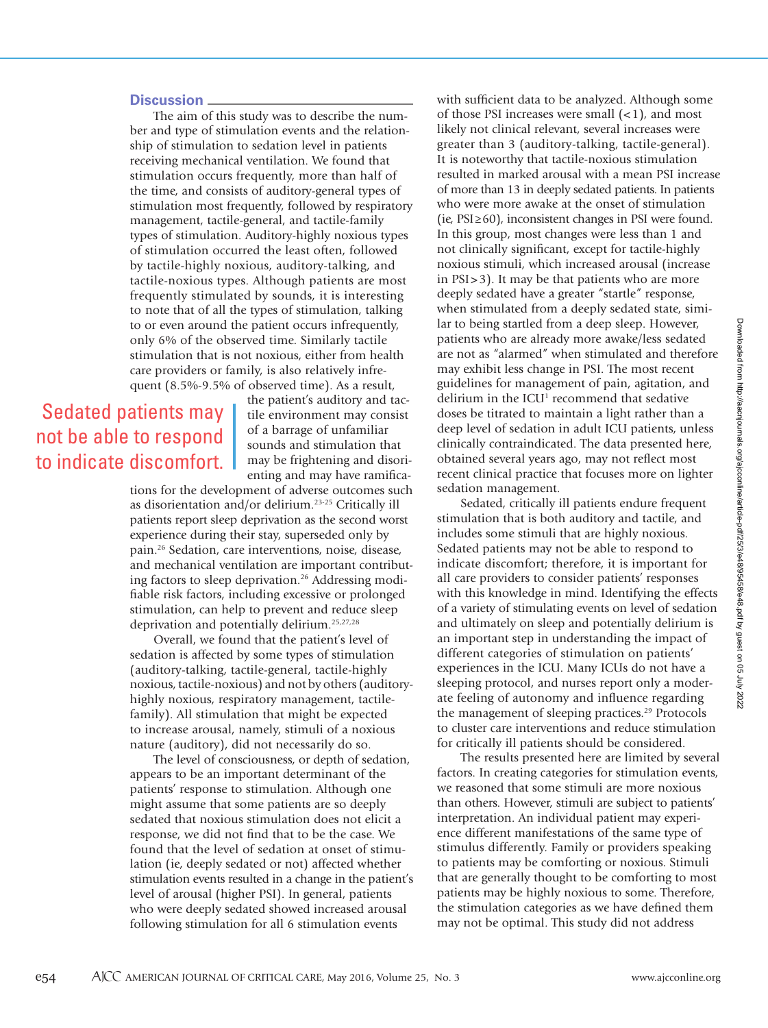## **Discussion**

The aim of this study was to describe the number and type of stimulation events and the relationship of stimulation to sedation level in patients receiving mechanical ventilation. We found that stimulation occurs frequently, more than half of the time, and consists of auditory-general types of stimulation most frequently, followed by respiratory management, tactile-general, and tactile-family types of stimulation. Auditory-highly noxious types of stimulation occurred the least often, followed by tactile-highly noxious, auditory-talking, and tactile-noxious types. Although patients are most frequently stimulated by sounds, it is interesting to note that of all the types of stimulation, talking to or even around the patient occurs infrequently, only 6% of the observed time. Similarly tactile stimulation that is not noxious, either from health care providers or family, is also relatively infrequent (8.5%-9.5% of observed time). As a result,

## Sedated patients may not be able to respond to indicate discomfort.

the patient's auditory and tactile environment may consist of a barrage of unfamiliar sounds and stimulation that may be frightening and disorienting and may have ramifica-

tions for the development of adverse outcomes such as disorientation and/or delirium.23-25 Critically ill patients report sleep deprivation as the second worst experience during their stay, superseded only by pain.26 Sedation, care interventions, noise, disease, and mechanical ventilation are important contributing factors to sleep deprivation.<sup>26</sup> Addressing modifiable risk factors, including excessive or prolonged stimulation, can help to prevent and reduce sleep deprivation and potentially delirium.25,27,28

Overall, we found that the patient's level of sedation is affected by some types of stimulation (auditory-talking, tactile-general, tactile-highly noxious, tactile-noxious) and not by others (auditoryhighly noxious, respiratory management, tactilefamily). All stimulation that might be expected to increase arousal, namely, stimuli of a noxious nature (auditory), did not necessarily do so.

The level of consciousness, or depth of sedation, appears to be an important determinant of the patients' response to stimulation. Although one might assume that some patients are so deeply sedated that noxious stimulation does not elicit a response, we did not find that to be the case. We found that the level of sedation at onset of stimulation (ie, deeply sedated or not) affected whether stimulation events resulted in a change in the patient's level of arousal (higher PSI). In general, patients who were deeply sedated showed increased arousal following stimulation for all 6 stimulation events

with sufficient data to be analyzed. Although some of those PSI increases were small  $(<1)$ , and most likely not clinical relevant, several increases were greater than 3 (auditory-talking, tactile-general). It is noteworthy that tactile-noxious stimulation resulted in marked arousal with a mean PSI increase of more than 13 in deeply sedated patients. In patients who were more awake at the onset of stimulation (ie, PSI≥60), inconsistent changes in PSI were found. In this group, most changes were less than 1 and not clinically significant, except for tactile-highly noxious stimuli, which increased arousal (increase in PSI>3). It may be that patients who are more deeply sedated have a greater "startle" response, when stimulated from a deeply sedated state, similar to being startled from a deep sleep. However, patients who are already more awake/less sedated are not as "alarmed" when stimulated and therefore may exhibit less change in PSI. The most recent guidelines for management of pain, agitation, and delirium in the ICU<sup>1</sup> recommend that sedative doses be titrated to maintain a light rather than a deep level of sedation in adult ICU patients, unless clinically contraindicated. The data presented here, obtained several years ago, may not reflect most recent clinical practice that focuses more on lighter sedation management.

Sedated, critically ill patients endure frequent stimulation that is both auditory and tactile, and includes some stimuli that are highly noxious. Sedated patients may not be able to respond to indicate discomfort; therefore, it is important for all care providers to consider patients' responses with this knowledge in mind. Identifying the effects of a variety of stimulating events on level of sedation and ultimately on sleep and potentially delirium is an important step in understanding the impact of different categories of stimulation on patients' experiences in the ICU. Many ICUs do not have a sleeping protocol, and nurses report only a moderate feeling of autonomy and influence regarding the management of sleeping practices.<sup>29</sup> Protocols to cluster care interventions and reduce stimulation for critically ill patients should be considered.

The results presented here are limited by several factors. In creating categories for stimulation events, we reasoned that some stimuli are more noxious than others. However, stimuli are subject to patients' interpretation. An individual patient may experience different manifestations of the same type of stimulus differently. Family or providers speaking to patients may be comforting or noxious. Stimuli that are generally thought to be comforting to most patients may be highly noxious to some. Therefore, the stimulation categories as we have defined them may not be optimal. This study did not address